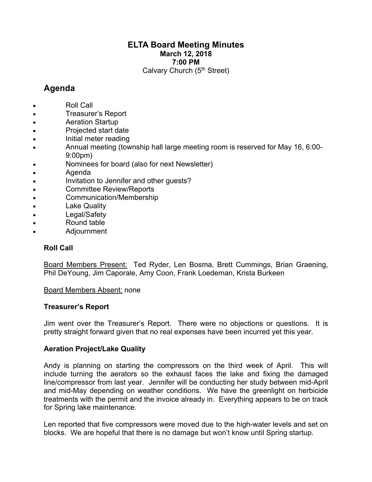## **ELTA Board Meeting Minutes March 12, 2018 7:00 PM**

Calvary Church (5<sup>th</sup> Street)

# **Agenda**

- Roll Call
- Treasurer's Report
- Aeration Startup
- Projected start date
- Initial meter reading
- Annual meeting (township hall large meeting room is reserved for May 16, 6:00- 9:00pm)
- Nominees for board (also for next Newsletter)
- Agenda
- Invitation to Jennifer and other guests?
- Committee Review/Reports
- Communication/Membership
- Lake Quality
- Legal/Safety
- Round table
- Adjournment

## **Roll Call**

Board Members Present: Ted Ryder, Len Bosma, Brett Cummings, Brian Graening, Phil DeYoung, Jim Caporale, Amy Coon, Frank Loedeman, Krista Burkeen

## Board Members Absent: none

## **Treasurer's Report**

Jim went over the Treasurer's Report. There were no objections or questions. It is pretty straight forward given that no real expenses have been incurred yet this year.

## **Aeration Project/Lake Quality**

Andy is planning on starting the compressors on the third week of April. This will include turning the aerators so the exhaust faces the lake and fixing the damaged line/compressor from last year. Jennifer will be conducting her study between mid-April and mid-May depending on weather conditions. We have the greenlight on herbicide treatments with the permit and the invoice already in. Everything appears to be on track for Spring lake maintenance.

Len reported that five compressors were moved due to the high-water levels and set on blocks. We are hopeful that there is no damage but won't know until Spring startup.